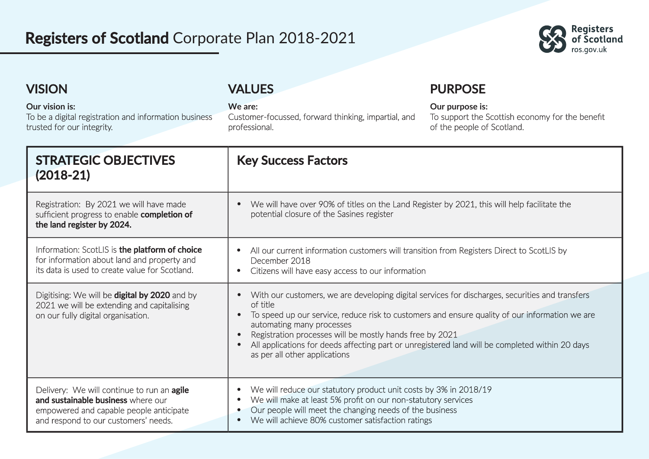## **Registers of Scotland** Corporate Plan 2018-2021



| <b>VISION</b>                                                                                         |                                                                                                                                                                     | <b>VALUES</b>                                                                                                                                                                                                                                                                                                                                         | <b>PURPOSE</b>                                                                                   |  |
|-------------------------------------------------------------------------------------------------------|---------------------------------------------------------------------------------------------------------------------------------------------------------------------|-------------------------------------------------------------------------------------------------------------------------------------------------------------------------------------------------------------------------------------------------------------------------------------------------------------------------------------------------------|--------------------------------------------------------------------------------------------------|--|
| Our vision is:<br>To be a digital registration and information business<br>trusted for our integrity. |                                                                                                                                                                     | We are:<br>Customer-focussed, forward thinking, impartial, and<br>professional.                                                                                                                                                                                                                                                                       | Our purpose is:<br>To support the Scottish economy for the benefit<br>of the people of Scotland. |  |
|                                                                                                       | <b>STRATEGIC OBJECTIVES</b><br>$(2018-21)$                                                                                                                          | <b>Key Success Factors</b>                                                                                                                                                                                                                                                                                                                            |                                                                                                  |  |
|                                                                                                       | Registration: By 2021 we will have made<br>sufficient progress to enable completion of<br>the land register by 2024.                                                | We will have over 90% of titles on the Land Register by 2021, this will help facilitate the<br>potential closure of the Sasines register                                                                                                                                                                                                              |                                                                                                  |  |
|                                                                                                       | Information: ScotLIS is the platform of choice<br>for information about land and property and<br>its data is used to create value for Scotland.                     | All our current information customers will transition from Registers Direct to ScotLIS by<br>December 2018<br>Citizens will have easy access to our information                                                                                                                                                                                       |                                                                                                  |  |
|                                                                                                       | Digitising: We will be digital by 2020 and by<br>2021 we will be extending and capitalising<br>on our fully digital organisation.                                   | With our customers, we are developing digital services for discharges, securities and transfers<br>of title<br>$\bullet$<br>automating many processes<br>Registration processes will be mostly hands free by 2021<br>All applications for deeds affecting part or unregistered land will be completed within 20 days<br>as per all other applications | To speed up our service, reduce risk to customers and ensure quality of our information we are   |  |
|                                                                                                       | Delivery: We will continue to run an agile<br>and sustainable business where our<br>empowered and capable people anticipate<br>and respond to our customers' needs. | We will reduce our statutory product unit costs by 3% in 2018/19<br>We will make at least 5% profit on our non-statutory services<br>Our people will meet the changing needs of the business<br>We will achieve 80% customer satisfaction ratings                                                                                                     |                                                                                                  |  |